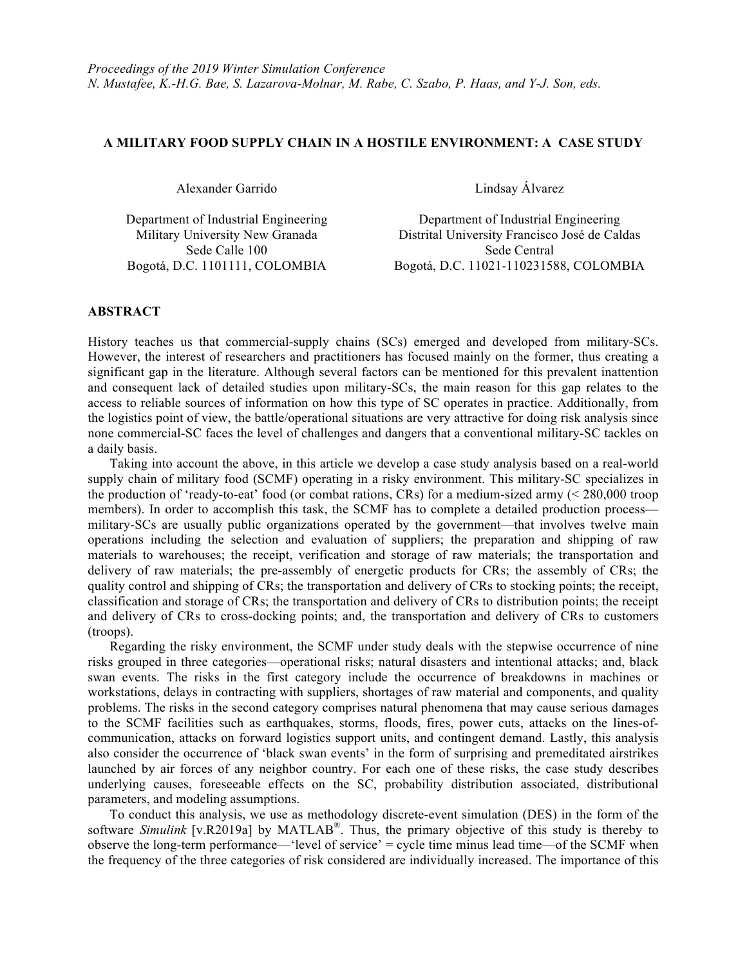## **A MILITARY FOOD SUPPLY CHAIN IN A HOSTILE ENVIRONMENT: A CASE STUDY**

Alexander Garrido Lindsay Álvarez

Department of Industrial Engineering Military University New Granada Sede Calle 100 Bogotá, D.C. 1101111, COLOMBIA

Department of Industrial Engineering Distrital University Francisco José de Caldas Sede Central Bogotá, D.C. 11021-110231588, COLOMBIA

## **ABSTRACT**

History teaches us that commercial-supply chains (SCs) emerged and developed from military-SCs. However, the interest of researchers and practitioners has focused mainly on the former, thus creating a significant gap in the literature. Although several factors can be mentioned for this prevalent inattention and consequent lack of detailed studies upon military-SCs, the main reason for this gap relates to the access to reliable sources of information on how this type of SC operates in practice. Additionally, from the logistics point of view, the battle/operational situations are very attractive for doing risk analysis since none commercial-SC faces the level of challenges and dangers that a conventional military-SC tackles on a daily basis.

Taking into account the above, in this article we develop a case study analysis based on a real-world supply chain of military food (SCMF) operating in a risky environment. This military-SC specializes in the production of 'ready-to-eat' food (or combat rations, CRs) for a medium-sized army (< 280,000 troop members). In order to accomplish this task, the SCMF has to complete a detailed production process military-SCs are usually public organizations operated by the government—that involves twelve main operations including the selection and evaluation of suppliers; the preparation and shipping of raw materials to warehouses; the receipt, verification and storage of raw materials; the transportation and delivery of raw materials; the pre-assembly of energetic products for CRs; the assembly of CRs; the quality control and shipping of CRs; the transportation and delivery of CRs to stocking points; the receipt, classification and storage of CRs; the transportation and delivery of CRs to distribution points; the receipt and delivery of CRs to cross-docking points; and, the transportation and delivery of CRs to customers (troops).

Regarding the risky environment, the SCMF under study deals with the stepwise occurrence of nine risks grouped in three categories—operational risks; natural disasters and intentional attacks; and, black swan events. The risks in the first category include the occurrence of breakdowns in machines or workstations, delays in contracting with suppliers, shortages of raw material and components, and quality problems. The risks in the second category comprises natural phenomena that may cause serious damages to the SCMF facilities such as earthquakes, storms, floods, fires, power cuts, attacks on the lines-ofcommunication, attacks on forward logistics support units, and contingent demand. Lastly, this analysis also consider the occurrence of 'black swan events' in the form of surprising and premeditated airstrikes launched by air forces of any neighbor country. For each one of these risks, the case study describes underlying causes, foreseeable effects on the SC, probability distribution associated, distributional parameters, and modeling assumptions.

To conduct this analysis, we use as methodology discrete-event simulation (DES) in the form of the software *Simulink* [v.R2019a] by MATLAB®. Thus, the primary objective of this study is thereby to observe the long-term performance—'level of service' = cycle time minus lead time—of the SCMF when the frequency of the three categories of risk considered are individually increased. The importance of this